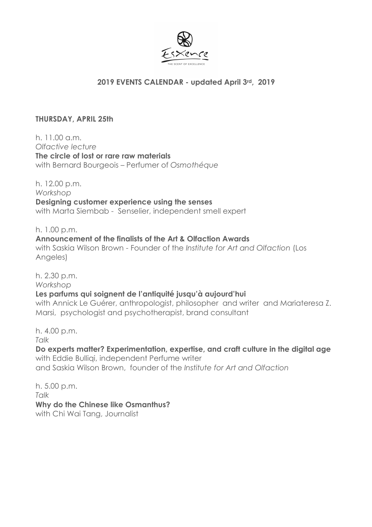

## **2019 EVENTS CALENDAR - updated April 3rd, 2019**

## **THURSDAY, APRIL 25th**

h. 11.00 a.m. *Olfactive lecture* **The circle of lost or rare raw materials** with Bernard Bourgeois – Perfumer of *Osmothéque*

h. 12.00 p.m. *Workshop*  **Designing customer experience using the senses** with Marta Siembab - Senselier, independent smell expert

h. 1.00 p.m. **Announcement of the finalists of the Art & Olfaction Awards** with Saskia Wilson Brown - Founder of the *Institute for Art and Olfaction* (Los Angeles)

h. 2.30 p.m. *Workshop* **Les parfums qui soignent de l'antiquité jusqu'à aujourd'hui** with Annick Le Guérer, anthropologist, philosopher and writer and Mariateresa Z. Marsi, psychologist and psychotherapist, brand consultant

h. 4.00 p.m.

*Talk*

**Do experts matter? Experimentation, expertise, and craft culture in the digital age** with Eddie Bulliqi, independent Perfume writer and Saskia Wilson Brown, founder of the *Institute for Art and Olfaction*

h. 5.00 p.m. *Talk* **Why do the Chinese like Osmanthus?** with Chi Wai Tang, Journalist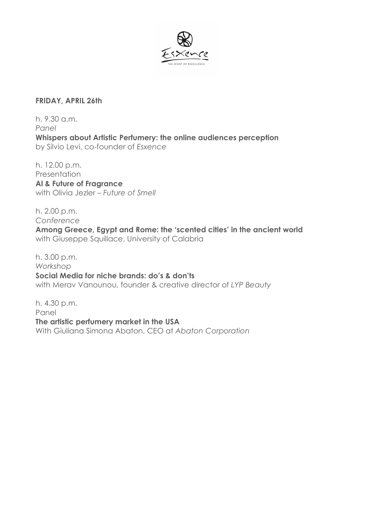

## **FRIDAY, APRIL 26th**

h. 9.30 a.m. *Panel* **Whispers about Artistic Perfumery: the online audiences perception** by Silvio Levi, co-founder of *Esxence*

h. 12.00 p.m. **Presentation Al & Future of Fragrance** with Olivia Jezler – *Future of Smell* 

h. 2.00 p.m. *Conference*

**Among Greece, Egypt and Rome: the 'scented cities' in the ancient world**  with Giuseppe Squillace, University of Calabria

h. 3.00 p.m. *Workshop* **Social Media for niche brands: do's & don'ts** with Merav Vanounou, founder & creative director of *LYP Beauty*

h. 4.30 p.m. Panel **The artistic perfumery market in the USA** With Giuliana Simona Abaton, CEO at *Abaton Corporation*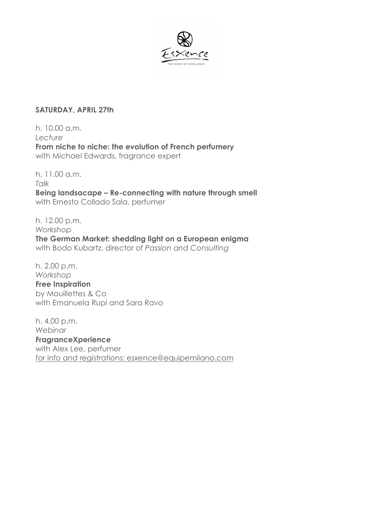

## **SATURDAY, APRIL 27th**

h. 10.00 a.m. *Lecture* **From niche to niche: the evolution of French perfumery** with Michael Edwards, fragrance expert

h. 11.00 a.m. *Talk* **Being landsacape – Re-connecting with nature through smell** with Ernesto Collado Sala, perfumer

h. 12.00 p.m. *Workshop* **The German Market: shedding light on a European enigma** with Bodo Kubartz, director of *Passion and Consulting*

h. 2.00 p.m. *Workshop* **Free Inspiration** by Mouillettes & Co with Emanuela Rupi and Sara Ravo

h. 4.00 p.m. *Webinar* **FragranceXperience** with Alex Lee, perfumer for info and registrations: esxence@equipemilano.com